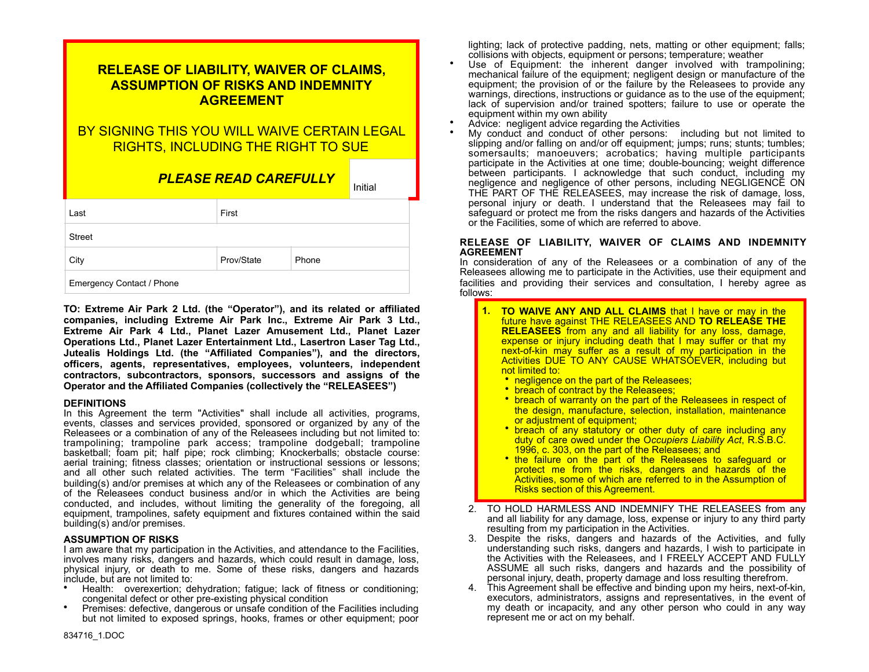| <u>RELEASE OF LIABILITY, WAIVER OF CLAIMS,</u><br><b>ASSUMPTION OF RISKS AND INDEMNITY</b><br><b>AGREEMENT</b> |                              |       |         |  |  |
|----------------------------------------------------------------------------------------------------------------|------------------------------|-------|---------|--|--|
| BY SIGNING THIS YOU WILL WAIVE CERTAIN LEGAL<br><b>RIGHTS, INCLUDING THE RIGHT TO SUE</b>                      |                              |       |         |  |  |
|                                                                                                                | <u>PLEASE READ CAREFULLY</u> |       | Initial |  |  |
| Last                                                                                                           | First                        |       |         |  |  |
| Street                                                                                                         |                              |       |         |  |  |
| City                                                                                                           | Prov/State                   | Phone |         |  |  |
| Emergency Contact / Phone                                                                                      |                              |       |         |  |  |

**TO: Extreme Air Park 2 Ltd. (the "Operator"), and its related or affiliated companies, including Extreme Air Park Inc., Extreme Air Park 3 Ltd., Extreme Air Park 4 Ltd., Planet Lazer Amusement Ltd., Planet Lazer Operations Ltd., Planet Lazer Entertainment Ltd., Lasertron Laser Tag Ltd., Jutealis Holdings Ltd. (the "Affiliated Companies"), and the directors, officers, agents, representatives, employees, volunteers, independent contractors, subcontractors, sponsors, successors and assigns of the Operator and the Affiliated Companies (collectively the "RELEASEES")**

## **DEFINITIONS**

In this Agreement the term "Activities" shall include all activities, programs, events, classes and services provided, sponsored or organized by any of the Releasees or a combination of any of the Releasees including but not limited to: trampolining; trampoline park access; trampoline dodgeball; trampoline basketball; foam pit; half pipe; rock climbing; Knockerballs; obstacle course: aerial training; fitness classes; orientation or instructional sessions or lessons; and all other such related activities. The term "Facilities" shall include the building(s) and/or premises at which any of the Releasees or combination of any of the Releasees conduct business and/or in which the Activities are being conducted, and includes, without limiting the generality of the foregoing, all equipment, trampolines, safety equipment and fixtures contained within the said building(s) and/or premises.

## **ASSUMPTION OF RISKS**

I am aware that my participation in the Activities, and attendance to the Facilities, involves many risks, dangers and hazards, which could result in damage, loss, physical injury, or death to me. Some of these risks, dangers and hazards include, but are not limited to:

- Health: overexertion; dehydration; fatigue; lack of fitness or conditioning;
- congenital defect or other pre-existing physical condition Premises: defective, dangerous or unsafe condition of the Facilities including but not limited to exposed springs, hooks, frames or other equipment; poor

lighting; lack of protective padding, nets, matting or other equipment; falls;

- collisions with objects, equipment or persons; temperature; weather<br>Use of Equipment: the inherent danger involved with trampolining; mechanical failure of the equipment; negligent design or manufacture of the equipment; the provision of or the failure by the Releasees to provide any warnings, directions, instructions or guidance as to the use of the equipment; lack of supervision and/or trained spotters; failure to use or operate the
- 
- equipment within my own ability<br>• Advice: negligent advice regarding the Activities<br>• My conduct and conduct of other persons: including but not limited to slipping and/or falling on and/or off equipment; jumps; runs; stunts; tumbles; somersaults; manoeuvers; acrobatics; having multiple participants participate in the Activities at one time; double-bouncing; weight difference between participants. I acknowledge that such conduct, including my negligence and negligence of other persons, including NEGLIGENCE ON THE PART OF THE RELEASEES, may increase the risk of damage, loss, personal injury or death. I understand that the Releasees may fail to safeguard or protect me from the risks dangers and hazards of the Activities or the Facilities, some of which are referred to above.

## **RELEASE OF LIABILITY, WAIVER OF CLAIMS AND INDEMNITY AGREEMENT**

In consideration of any of the Releasees or a combination of any of the Releasees allowing me to participate in the Activities, use their equipment and facilities and providing their services and consultation, I hereby agree as follows:

- **1. TO WAIVE ANY AND ALL CLAIMS** that I have or may in the future have against THE RELEASEES AND **TO RELEASE THE RELEASEES** from any and all liability for any loss, damage, expense or injury including death that I may suffer or that my next-of-kin may suffer as a result of my participation in the Activities DUE TO ANY CAUSE WHATSOEVER, including but not limited to:
	-
	-
	- negligence on the part of the Releasees;<br>• breach of contract by the Releasees;<br>• breach of warranty on the part of the Releasees in respect of the design, manufacture, selection, installation, maintenance<br>or adjustment of equipment;
	- breach of any statutory or other duty of care including any duty of care owed under the O*ccupiers Liability Act*, R.S.B.C.
	- 1996, c. 303, on the part of the Releasees; and<br>• the failure on the part of the Releasees to safeguard or protect me from the risks, dangers and hazards of the Activities, some of which are referred to in the Assumption of Risks section of this Agreement.
- 2. TO HOLD HARMLESS AND INDEMNIFY THE RELEASEES from any and all liability for any damage, loss, expense or injury to any third party resulting from my participation in the Activities.
- 3. Despite the risks, dangers and hazards of the Activities, and fully understanding such risks, dangers and hazards, I wish to participate in the Activities with the Releasees, and I FREELY ACCEPT AND FULLY ASSUME all such risks, dangers and hazards and the possibility of personal injury, death, property damage and loss resulting therefrom.
- 4. This Agreement shall be effective and binding upon my heirs, next-of-kin, executors, administrators, assigns and representatives, in the event of my death or incapacity, and any other person who could in any way represent me or act on my behalf.